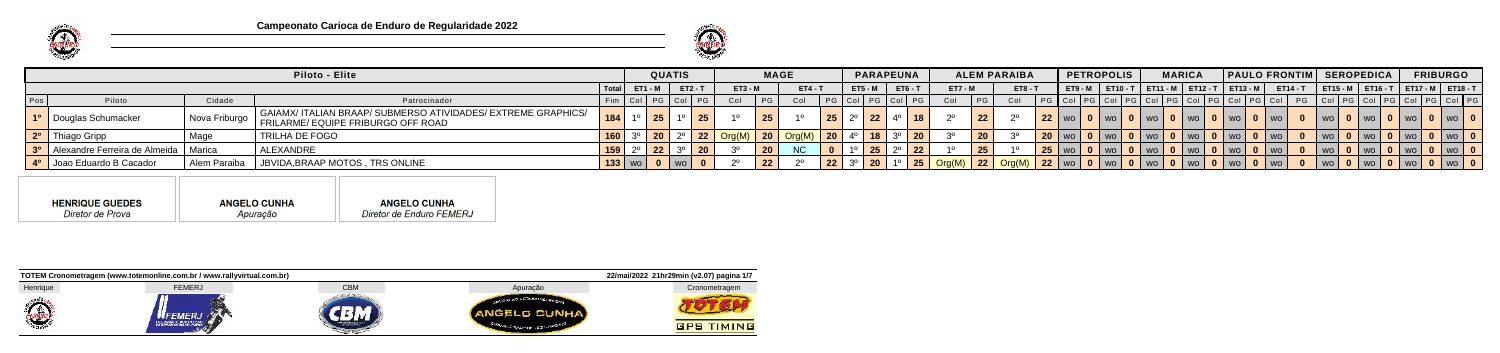



|     |                                             |              | <b>Piloto - Elite</b>                                                                                                   |                       | <b>QUATIS</b> |           |           | <b>MAGE</b> |                           |                 |                  |           | <b>PARAPEUNA</b> |                |    | <b>ALEM PARAIBA</b> |                                 | PETROPOLIS |                   | <b>MARICA</b> | <b>PAULO FRONTIM SEROPEDICA</b>                            |  |        |                                            | <b>FRIBURGO</b> |  |
|-----|---------------------------------------------|--------------|-------------------------------------------------------------------------------------------------------------------------|-----------------------|---------------|-----------|-----------|-------------|---------------------------|-----------------|------------------|-----------|------------------|----------------|----|---------------------|---------------------------------|------------|-------------------|---------------|------------------------------------------------------------|--|--------|--------------------------------------------|-----------------|--|
|     |                                             |              |                                                                                                                         | $I$ Total $I$ ET1 - M |               | $ET2 - T$ | $ET3 - M$ |             | $ET4 - T$                 |                 | <b>ET5 - M</b>   |           | $ET6 - T$        | <b>ET7 - M</b> |    | $ET8 - T$           |                                 |            |                   |               | ET9-M   ET10-T   ET11-M   ET12-T   ET13-M                  |  |        | ET14-T   ET15-M   ET16-T   ET17-M   ET18-T |                 |  |
| Pos | Piloto                                      | Cidade       | Patrocinador                                                                                                            | Fim   Col   I         |               |           | Col       |             |                           |                 |                  |           |                  | Col            | PG | - Col               | PG Col PG Col                   |            |                   |               |                                                            |  |        |                                            |                 |  |
|     | 1 <sup>o</sup> Douglas Schumacker           |              | │ GAIAMX/ ITALIAN BRAAP/ SUBMERSO ATIVIDADES/ EXTREME GRAPHICS/<br>  Nova Friburgo   FRILARME/ EQUIPE FRIBURGO OFF ROAD | 184                   | 25            |           |           | 25          |                           | 25 <sup>1</sup> | $2^{\circ}$   22 |           |                  |                | 22 |                     | $22$   wo                       |            | <b>0</b>   wo   0 | I WOIOI WOI   |                                                            |  |        | 'wolOIwolOIwolOIwol                        |                 |  |
|     | 2º Thiago Gripp                             | Mage         | TRILHA DE FOGO                                                                                                          | 160                   |               |           |           |             | 22   Org(M)   20   Org(M) | <b>20</b> l     |                  |           |                  |                | 20 |                     |                                 |            |                   |               | 0   wo   0   wo   0   wo   0   wo   0   wo   7             |  |        | WO   0   WO   0   WO   0   WO   L          |                 |  |
|     | 3º   Alexandre Ferreira de Almeida   Marica |              | ALEXANDRE                                                                                                               | $159$ 2               | 22            |           |           | 20          | <b>NC</b>                 |                 |                  | $25 \mid$ | 22 <sub>1</sub>  |                | 25 |                     |                                 |            |                   |               | 1 25   wo   0   wo   0   wo   0   wo   0   wo   0   wo   1 |  | WO   0 | I WOIOI WOIOI WOI                          |                 |  |
|     | 4 <sup>o</sup>   Joao Eduardo B Cacador     | Alem Paraiba | JBVIDA, BRAAP MOTOS, TRS ONLINE                                                                                         | $\vert$ 133   wo      |               |           |           |             |                           |                 |                  |           |                  |                |    |                     | $\parallel$ 1 22 WO $\parallel$ |            |                   | WO   0   WO   |                                                            |  |        |                                            |                 |  |

**HENRIQUE GUEDES ANGELO CUNHA ANGELO CUNHA** Diretor de Prova Diretor de Enduro FEMERJ Apuração

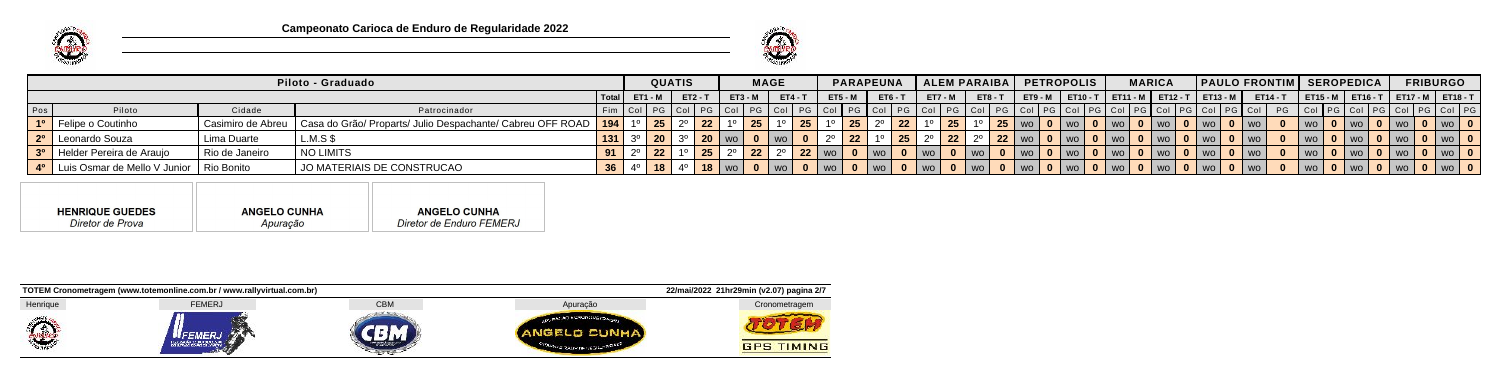



|     |                                         |                | Piloto - Graduado                                                              |     |                                 | <b>QUATIS</b>   |         |                 |           | <b>MAGE</b> |                |                | <b>PARAPEUNA</b> |                 |                  |                | ALEM PARAIBA   PETROPOLIS |                                        |                                           | <b>MARICA</b> |               | <b>PAULO FRONTIM SEROPEDICA</b> |  |                            | <b>FRIBURGO</b>                            |                |  |
|-----|-----------------------------------------|----------------|--------------------------------------------------------------------------------|-----|---------------------------------|-----------------|---------|-----------------|-----------|-------------|----------------|----------------|------------------|-----------------|------------------|----------------|---------------------------|----------------------------------------|-------------------------------------------|---------------|---------------|---------------------------------|--|----------------------------|--------------------------------------------|----------------|--|
|     |                                         |                |                                                                                |     | $\text{Total}$ $\text{ET1 - M}$ |                 | $ET2-T$ |                 | $ET3 - M$ |             | <b>ET4 - T</b> | <b>ET5 - M</b> | $ET6 - 1$        |                 | <b>ET7 - M</b>   | $ET8 - T$      |                           |                                        | ET9-M   ET10-T   ET11-M   ET12-T   ET13-M |               |               |                                 |  |                            | ET14-T   ET15-M   ET16-T   ET17-M   ET18-T |                |  |
| Pos | Piloto                                  | Cidade         | Patrocinador                                                                   |     | Fim   Col   PG   Col   PG   Col |                 |         |                 |           |             | PG Col PG Col  |                |                  |                 |                  |                |                           |                                        |                                           |               |               |                                 |  |                            |                                            |                |  |
|     | 1 <sup>o</sup> Felipe o Coutinho        |                | Casimiro de Abreu   Casa do Grão/ Proparts/ Julio Despachante/ Cabreu OFF ROAD | 194 |                                 | 25              |         | 22 <sub>2</sub> | 25        |             | $\vert$ 25     |                |                  | 22 <sub>2</sub> | $\vert$ 25       | <b>25</b>   wo |                           | $\blacksquare$ 0   wo   $\blacksquare$ | I WO I O                                  | wo l          | $0$   WO      |                                 |  | WOLO I WOLO I WOL          |                                            | $WO$ $\vert$ 0 |  |
|     | 2 <sup>o</sup> Leonardo Souza           | Lima Duarte    | $L.M.S$ \$                                                                     |     |                                 | 20 <sup>1</sup> |         |                 |           |             |                |                |                  |                 | $\vert 22 \vert$ |                | 22   wo   0   wo          |                                        | I WO I <b>U</b>                           |               | $0$   WO      |                                 |  | I WO   0   WO   0   WO     |                                            | $ w_0 $ 0      |  |
|     | 3 <sup>0</sup> Helder Pereira de Araujo | Rio de Janeiro | │ NO LIMITS                                                                    |     |                                 | 22              |         |                 | $22 \mid$ |             |                | <b>22</b>   wo |                  | $ $ WO $ $      |                  |                |                           |                                        | $\sqrt{1}$ WO $\sqrt{0}$                  | WO            | <b>0</b>   WO |                                 |  | I WO   0   WO   0   WO     |                                            | $vw$ 0         |  |
|     | 4º   Luis Osmar de Mello V Junior       | Rio Bonito     | JO MATERIAIS DE CONSTRUCAO                                                     |     |                                 |                 |         |                 |           |             |                |                |                  |                 |                  |                |                           |                                        |                                           |               |               |                                 |  | U WO   0   WO   0   WO   0 |                                            | wo   0         |  |

| Diretor de Enduro FEMERJ<br>Diretor de Prova<br>Apuração |
|----------------------------------------------------------|
|                                                          |

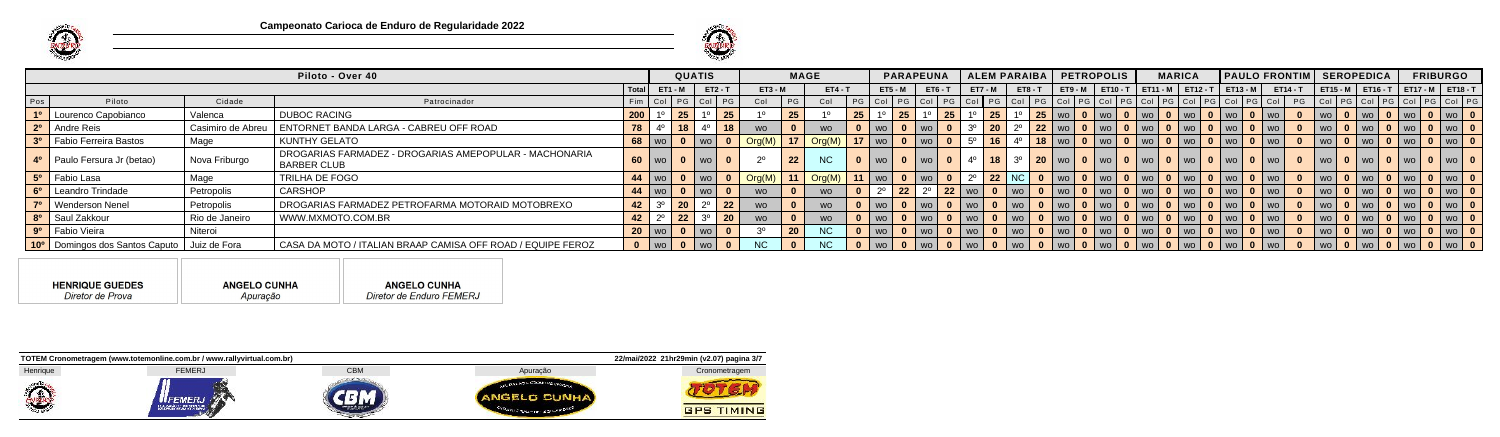



|                |                                                             |                   | Piloto - Over 40                                                      |                 |                | <b>QUATIS</b>             |             |    |                                   | <b>MAGE</b> |                |    |               |              | <b>PARAPEUNA</b>                            |                              | ALEM PARAIBA        |            |  | <b>PETROPOLIS</b>                      | <b>MARICA</b> |                                                                                                             |                            | <b>PAULO FRONTIM SEROPEDICA</b>                    |            |  | <b>FRIBURGO</b>                                                |  |
|----------------|-------------------------------------------------------------|-------------------|-----------------------------------------------------------------------|-----------------|----------------|---------------------------|-------------|----|-----------------------------------|-------------|----------------|----|---------------|--------------|---------------------------------------------|------------------------------|---------------------|------------|--|----------------------------------------|---------------|-------------------------------------------------------------------------------------------------------------|----------------------------|----------------------------------------------------|------------|--|----------------------------------------------------------------|--|
|                |                                                             |                   |                                                                       | l Total I       | <b>ET1 - M</b> |                           | ET2 - T     |    | $ET3 - M$                         |             | $ET4 - T$      |    | $ET5 - M$     |              | $ET6-T$                                     |                              | <b>ET7 - M</b>      | $ET8 - T$  |  |                                        |               |                                                                                                             |                            | ET9-M   ET10-T   ET11-M   ET12-T   ET13-M   ET14-T |            |  | ET15-M   ET16-T   ET17-M   ET18-T                              |  |
| Pos            | Piloto                                                      | Cidade            | Patrocinador                                                          |                 |                | Fim   Col   PG   Col   PG |             |    | Col                               | P           | Col            |    |               |              |                                             |                              |                     |            |  |                                        |               | PG   Col   PG   Col   PG   Col   PG   Col   PG   Col   PG   Col   PG   Col   PG   Col   PG   Col   PG   Col |                            |                                                    |            |  | PG   Col   PG   Col   PG   Col   PG   Col   PG                 |  |
| 1 <sup>0</sup> | Lourenco Capobianco                                         | Valenca           | <b>DUBOC RACING</b>                                                   | 200             |                | $\vert$ 25 $\vert$        |             | 25 |                                   | 25          |                | 25 |               | 25           | $1^{\circ}$   25                            |                              | 25                  |            |  | 25   wo   0   wo   0   wo   0          |               | $\sqrt{ }$ wo $\sqrt{ }$                                                                                    | 0   wo   0   wo            |                                                    | wo l       |  |                                                                |  |
|                | 2 <sup>0</sup> Andre Reis                                   | Casimiro de Abreu | ENTORNET BANDA LARGA - CABREU OFF ROAD                                | 78              |                | $-18$                     |             | 18 | <b>WO</b>                         |             | <b>WO</b>      |    | l wo l        | $\mathbf{0}$ | $\vert$ wo $\vert$ 0 $\vert$ 3 <sup>o</sup> |                              | 20                  |            |  |                                        |               | │ 22 │ wo │ 0 │ wo │ 0 │ wo │ 0 │ wo │ 0 │ wo │ 0 │ wo │ 0 │ wo │                                           |                            |                                                    | $ $ wo $ $ |  |                                                                |  |
|                | 3º Fabio Ferreira Bastos                                    | Mage              | KUNTHY GELATO                                                         |                 |                | 68   wo   0   wo          |             |    | $\vert$ Org(M) $\vert$ 17 $\vert$ |             | Org(M)         |    | $17$   wo   0 |              | $\vert$ wo $\vert$ 0 $\vert$ 5 <sup>o</sup> |                              | 16                  |            |  |                                        |               | <u>  18   wo   0   wo   0   wo   0   wo   0   wo   0   wo   1</u>                                           |                            |                                                    | l wo l     |  | $\vert$ wo $\vert$ 0 $\vert$ wo $\vert$ 0 $\vert$ wo $\vert$ 0 |  |
|                | 4 <sup>o</sup>   Paulo Fersura Jr (betao)                   | Nova Friburgo     | DROGARIAS FARMADEZ - DROGARIAS AMEPOPULAR - MACHONARIA<br>BARBER CLUB |                 |                | 60   wo   0   wo          |             |    |                                   | 22          | NC             |    |               |              | $ $ wo $ $                                  | $\overline{0}$   $4^{\circ}$ | $18 \mid 3^{\circ}$ |            |  | 20   wo   0   wo   0   wo   0   wo   1 |               |                                                                                                             | 0   wo   0   wo   1        |                                                    | I wo I     |  | 0   wo   0   wo   0   wo   0                                   |  |
|                | 5 <sup>o</sup> Fabio Lasa                                   | Mage              | <b>TRILHA DE FOGO</b>                                                 |                 |                |                           | wo <b>0</b> |    | $\vert$ Org(M)   11               |             | Org(M)         |    |               |              | 11   wo   0   wo   0   2 $^{\circ}$         |                              | 22 NC               |            |  |                                        |               | 0   wo   0   wo   0   wo   0   wo   0   wo   0   wo                                                         |                            |                                                    | l wo l     |  | wo   0   wo   0   wo   0                                       |  |
|                | 6 <sup>o</sup> Leandro Trindade                             | Petropolis        | <b>CARSHOP</b>                                                        |                 |                | 44   wo   0   wo          |             |    | <b>WO</b>                         |             | <b>WO</b>      |    |               |              |                                             |                              |                     |            |  |                                        |               | 22   2 <sup>0</sup>   22   wo   0   wo   0   wo   0   wo   0   wo   0   wo   0   wo   0   wo   0   wo       |                            |                                                    | $ $ wo $ $ |  | 0   wo   0   wo   0   wo   0                                   |  |
|                | 7º   Wenderson Nenel                                        | Petropolis        | DROGARIAS FARMADEZ PETROFARMA MOTORAID MOTOBREXO                      | 42              |                |                           | ററ          | 22 | <b>WO</b>                         |             | <b>WO</b>      |    | l wo l        | $\mathbf{0}$ | wo 0 wo 7                                   |                              |                     | wo         |  | 0   wo   0   wo   0   wo   0   wo      |               |                                                                                                             | 0   wo   0   wo            |                                                    | <b>WO</b>  |  | wo   0   wo   0   wo   0                                       |  |
|                | 8 <sup>o</sup>   Saul Zakkour                               | Rio de Janeiro    | WWW.MXMOTO.COM.BR                                                     | 42 <sup>1</sup> |                | $\vert$ 22 $\vert$        | ററ          | 20 | <b>WO</b>                         |             | <b>WO</b>      |    | wo l          | $\mathbf{0}$ | wo   0   wo                                 |                              |                     | wo         |  | 0   wo   0   wo   0   wo   0           |               | $\blacksquare$ wo $\blacksquare$                                                                            | <b>O</b>   wo   0   wo   \ |                                                    | <b>WO</b>  |  |                                                                |  |
|                | 9 <sup>o</sup> Fabio Vieira                                 | Niteroi           |                                                                       |                 |                | 20   wo   0   wo          |             |    |                                   | <b>20</b>   | NC \           |    | l wo l        | $\mathbf{0}$ | $ wo $ 0 $ wo $                             |                              |                     | $ $ wo $ $ |  |                                        |               | 0   wo   0   wo   0   wo   0   wo   0   wo   0   wo   1                                                     |                            |                                                    | $ $ wo $ $ |  | wo   0   wo   0   wo   0                                       |  |
|                | 10 <sup>o</sup>   Domingos dos Santos Caputo   Juiz de Fora |                   | CASA DA MOTO / ITALIAN BRAAP CAMISA OFF ROAD / EQUIPE FEROZ           |                 |                | 0   wo   0   wo   \       |             |    |                                   |             | N <sub>C</sub> |    |               | $\mathbf{0}$ | $ wo $ 0 $ wo $                             |                              |                     | wo l       |  |                                        |               | 0   wo   0   wo   0   wo   0   wo   0   wo   0   wo   1                                                     |                            |                                                    | l wo       |  | wo    0    wo    0    wo    0                                  |  |

| <b>HENRIQUE GUEDES</b> | <b>ANGELO CUNHA</b> | <b>ANGELO CUNHA</b>      |
|------------------------|---------------------|--------------------------|
| Diretor de Prova       | Apuração            | Diretor de Enduro FEMERJ |

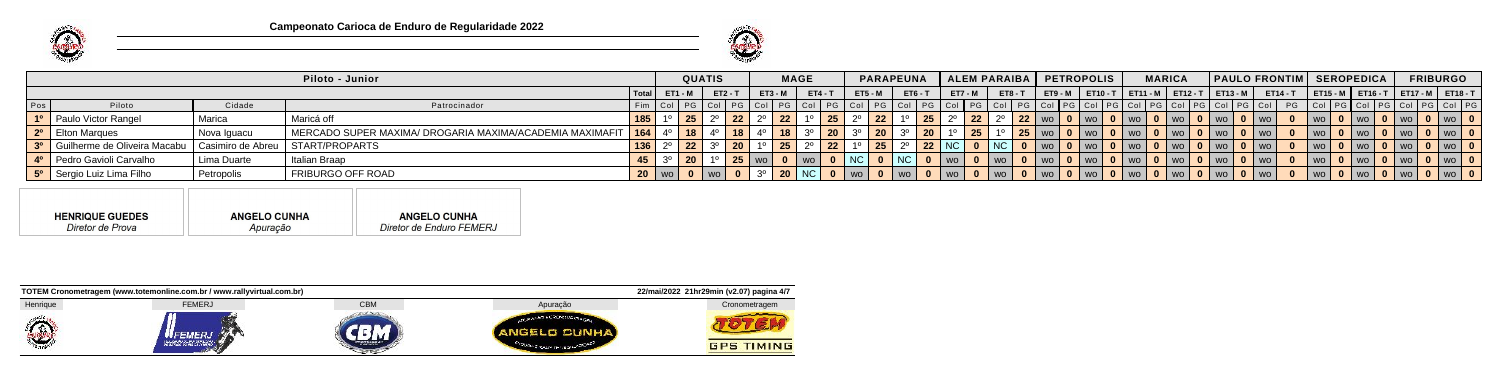



|     |                                                                      |             | Piloto - Junior                                                |                | <b>QUATIS</b> |           |           | <b>MAGE</b>          |        |                |                    |                                  |                            |    | PARAPEUNA   ALEM PARAIBA   PETROPOLIS         |             |                                                                   |               | <b>MARICA</b>           |                                 |                 | <b>PAULO FRONTIM SEROPEDICA</b> |          |                                                  | <b>FRIBURGO</b> |  |
|-----|----------------------------------------------------------------------|-------------|----------------------------------------------------------------|----------------|---------------|-----------|-----------|----------------------|--------|----------------|--------------------|----------------------------------|----------------------------|----|-----------------------------------------------|-------------|-------------------------------------------------------------------|---------------|-------------------------|---------------------------------|-----------------|---------------------------------|----------|--------------------------------------------------|-----------------|--|
|     |                                                                      |             |                                                                | <b>ET1 - M</b> |               | $ET2 - T$ | $ET3 - M$ | $\sqrt{1 + ET4 - T}$ |        | <b>ET5 - M</b> |                    | <b>ET6 - T</b>                   | $ET7 - M$                  |    | $ET8 - T$                                     |             | ET9-M   ET10-T   ET11-M   ET12-T   ET13-M                         |               |                         |                                 | <b>ET14 - T</b> |                                 |          | <sup>-</sup>   ЕТ15-М   ЕТ16-Т   ЕТ17-М   ЕТ18-Т |                 |  |
| Pos | Piloto                                                               | Cidade      | Patrocinador                                                   |                |               |           |           |                      |        |                |                    |                                  | PG Col PG Col PG Col       |    | PG   Col   PG   Col   PG   Col   PG   Col   I |             |                                                                   |               | PG Coll PG Coll PG Coll |                                 |                 |                                 |          | \PG   Col PG Col PG Col PG Col PG                |                 |  |
|     | 1 <sup>o</sup> Paulo Victor Rangel                                   | Marica      | Maricá off                                                     |                |               |           | 22        |                      | 25     |                | $2^{\circ}$ 22     |                                  | $\vert 25 \vert 2^{\circ}$ | 22 |                                               |             | │ 22 │ wo │ 0 │ wo │ 0 │ wo │ 0 │ wo │ 0 │ wo │ 0 │ wo │ 0 │ wo │ |               |                         |                                 |                 | $ $ WO $ $                      | 0 I wo I | 0   wo   0   wo   0                              |                 |  |
|     | 2 <sup>o</sup>   Elton Marques                                       | Nova Iguacu | MERCADO SUPER MAXIMA/ DROGARIA MAXIMA/ACADEMIA MAXIMAFIT   164 |                |               |           |           |                      | 20     |                | $\vert$ 20 $\vert$ |                                  | 20                         |    |                                               |             | 25   wo   0   wo   0   wo   1                                     |               | 0 I wo I                | <b>0</b> I wo I <b>0</b> I wo I |                 | I WO                            | $0$   wo | 1 0   wo   0   wo   <b>0</b>                     |                 |  |
|     | 3º Guilherme de Oliveira Macabu   Casimiro de Abreu   START/PROPARTS |             |                                                                |                | 22'           |           | 25        |                      | 22     |                | $\sqrt{25}$        |                                  | 22 NC                      |    | 0  NC                                         | wo   0   wo |                                                                   | <b>0</b>   wo | <b>0</b>   wo           | 0   wo   0   wo                 |                 |                                 | $0$   wo | 0   wo   0   wo   1                              |                 |  |
|     | 4 <sup>o</sup> Pedro Gavioli Carvalho                                | Lima Duarte | Italian Braap                                                  |                |               |           |           | 0   wo               | 0   NC |                |                    | $\blacksquare$ NC $\blacksquare$ | $\bullet$   wo             |    | $0  $ WO $0$                                  |             | wo   0   wo   0   wo                                              |               | <b>0</b>   wo           | 0   wo   0   wo                 |                 | $ $ WO $ $                      | 0 I wo I | 0   wo   0   wo   0                              |                 |  |
|     | 5 <sup>0</sup> Sergio Luiz Lima Filho                                | Petropolis  | FRIBURGO OFF ROAD                                              |                |               |           |           | 20   NC              |        |                |                    |                                  | <b>0</b> WO I              |    | WO U                                          |             |                                                                   |               |                         | U   WO   0   WO                 |                 |                                 |          | 0   wo   0   wo   1                              |                 |  |

**ANGELO CUNHA ANGELO CUNHA HENRIQUE GUEDES** Diretor de Prova Diretor de Enduro FEMERJ Apuração

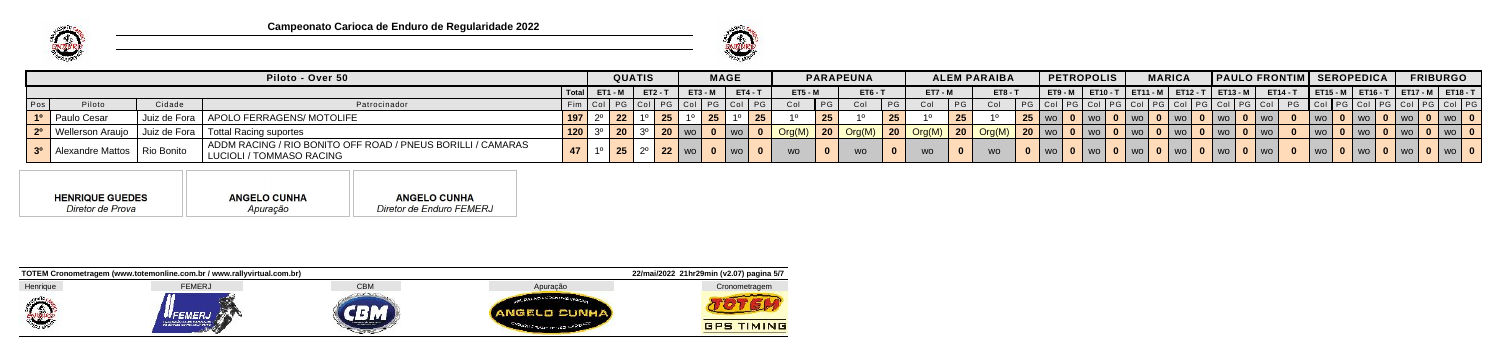



|     |                                   |                | Piloto - Over 50                                                                          |     |                            | QUATIS |           |         |           | <b>MAGE</b> |           |                                        |    | <b>PARAPEUNA</b> |    |                                                     |                | <b>ALEM PARAIBA</b> |           | <b>PETROPOLIS</b> |                          | <b>MARICA</b>            | <b>PAULO FRONTIM SEROPEDICA</b>           |                               |                 |                                |  | <b>FRIBURGO</b> |                                           |
|-----|-----------------------------------|----------------|-------------------------------------------------------------------------------------------|-----|----------------------------|--------|-----------|---------|-----------|-------------|-----------|----------------------------------------|----|------------------|----|-----------------------------------------------------|----------------|---------------------|-----------|-------------------|--------------------------|--------------------------|-------------------------------------------|-------------------------------|-----------------|--------------------------------|--|-----------------|-------------------------------------------|
|     |                                   |                |                                                                                           |     | <b>I Total I ET1 - M I</b> |        | $ET2 - T$ |         | $ET3 - M$ |             | $ET4 - T$ | <b>ET5 - M</b>                         |    | <b>ET6 - T</b>   |    | <b>ET7 - M</b>                                      |                | <b>ET8 - T</b>      |           |                   |                          |                          | ET9-M   ET10-T   ET11-M   ET12-T   ET13-M |                               | <b>ET14 - T</b> |                                |  |                 | ET15 - M   ET16 - T   ET17 - M   ET18 - T |
| Pos | Piloto                            | Cidade         | Patrocinador                                                                              |     |                            |        |           |         |           |             |           | Col                                    | PG | Col              | PG | Col                                                 | P <sub>G</sub> | Col                 |           |                   | │ PG │ Col│PG│ Col│PG│ C |                          |                                           |                               |                 | PG   Col   PG   Col   PG   Col |  |                 |                                           |
|     | 1º   Paulo Cesar                  |                | Juiz de Fora   APOLO FERRAGENS/ MOTOLIFE                                                  |     |                            |        | 25 L      |         |           |             |           |                                        | ΖJ |                  | 25 |                                                     |                |                     | $25$   wo |                   |                          | $0$   wo                 | <b>I</b> wo                               | $\overline{1}$ $\overline{1}$ |                 |                                |  |                 |                                           |
|     | 2 <sup>o</sup>   Wellerson Araujo | I Juiz de Fora | Tottal Racing suportes                                                                    | 120 |                            |        |           |         |           |             |           | $\bigcap \text{Crg}(M) \big  20 \big $ |    |                  |    | $\vert$ Org(M) $\vert$ 20 $\vert$ Org(M) $\vert$ 20 |                |                     | $120$ wo  |                   |                          | $0$   wo                 |                                           |                               |                 |                                |  |                 |                                           |
|     | 3º Alexandre Mattos   Rio Bonito  |                | ADDM RACING / RIO BONITO OFF ROAD / PNEUS BORILLI / CAMARAS<br>  LUCIOLI / TOMMASO RACING |     |                            | 25     |           | 22   wo |           |             |           |                                        |    |                  |    | <b>WO</b>                                           |                | <b>WO</b>           |           |                   |                          | wo   0   wo   0   wo   0 | WO.                                       |                               |                 |                                |  |                 | 0   wo                                    |

| Diretor de Enduro FEMERJ<br>Diretor de Prova<br>Apuração |
|----------------------------------------------------------|
|                                                          |

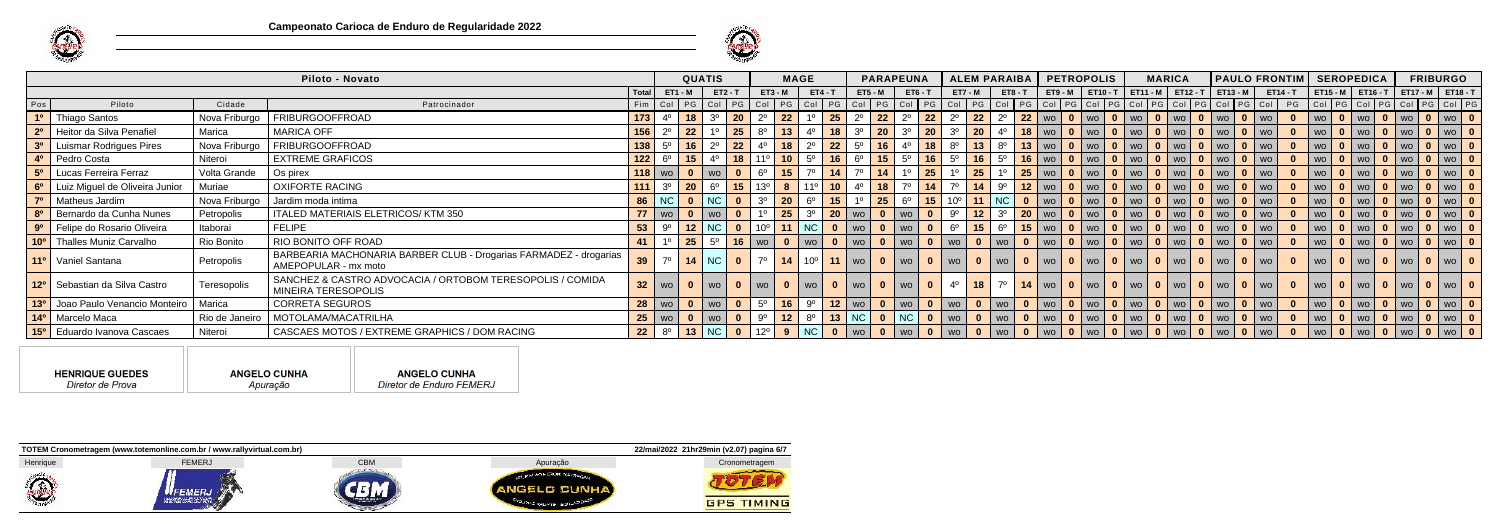



|     |                                               |                    | Piloto - Novato                                                                           |                     |                                | <b>QUATIS</b> |                |                   |                    | <b>MAGE</b>                   |                         |                  | <b>PARAPEUNA</b>          |              |                                                                                                                                    |                               | ALEM PARAIBA   PETROPOLIS                                                                                                                                                |  |  | <b>MARICA</b> |                                                      |        | PAULO FRONTIM SEROPEDICA                                                                                                                                                                                             |  |  | <b>FRIBURGO</b>                       |
|-----|-----------------------------------------------|--------------------|-------------------------------------------------------------------------------------------|---------------------|--------------------------------|---------------|----------------|-------------------|--------------------|-------------------------------|-------------------------|------------------|---------------------------|--------------|------------------------------------------------------------------------------------------------------------------------------------|-------------------------------|--------------------------------------------------------------------------------------------------------------------------------------------------------------------------|--|--|---------------|------------------------------------------------------|--------|----------------------------------------------------------------------------------------------------------------------------------------------------------------------------------------------------------------------|--|--|---------------------------------------|
|     |                                               |                    |                                                                                           | l Total I           | $ET1 - M$                      |               | $ET2 - T$      |                   | $ET3 - M$          |                               | $ET4 - T$               | <b>ET5 - M</b>   |                           | $ET6 - T$    |                                                                                                                                    |                               |                                                                                                                                                                          |  |  |               |                                                      |        | ET7-M   ET8-T   ET9-M   ET10-T   ET11-M   ET12-T   ET13-M   ET14-T   ET15-M   ET16-T   ET17-M   ET18-T                                                                                                               |  |  |                                       |
| Pos | Piloto                                        | Cidade             | Patrocinador                                                                              |                     |                                |               |                |                   |                    |                               |                         |                  |                           |              |                                                                                                                                    |                               |                                                                                                                                                                          |  |  |               |                                                      |        | Fim   Col   PG   Col   PG   Col   PG   Col   PG   Col   PG   Col   PG   Col   PG   Col   PG   Col   PG   Col   PG   Col   PG   Col   PG   Col   PG   Col   PG   Col   PG   Col   PG   Col   PG   Col   PG   Col   PG |  |  |                                       |
|     | 1 <sup>o</sup>   Thiago Santos                | Nova Friburgo      | FRIBURGOOFFROAD                                                                           | $173   4^{\circ}$   |                                |               | $18$ 3° 20     |                   | 22 <br>$2^{\circ}$ |                               | $25 \vert$              | $2^{\circ}$   22 |                           |              | $2^{\circ}$ 22 $2^{\circ}$ 22                                                                                                      |                               | $2^{\circ}$                                                                                                                                                              |  |  |               | 22   wo   0   wo   0   wo   0   wo   0   wo   0   wo |        |                                                                                                                                                                                                                      |  |  | 0   wo   0   wo   0   wo   0   wo   0 |
|     | 2º Heitor da Silva Penafiel                   | Marica             | <b>MARICA OFF</b>                                                                         | $156$ $2^{\circ}$   |                                |               | $1^\circ$   25 |                   | $8^\circ$<br> 13   | $4^\circ$                     |                         |                  |                           |              |                                                                                                                                    |                               | <mark>│ 18 │</mark> 3º │ <b>20 │</b> 3º │ <b>20 │</b> 3º │ <mark>20 │</mark> 4º │ 18 │ wo │ 0 │ wo │ 0 │ wo │ 0 │ wo │ 0 │ wo │ 0 │ wo │ 0 │ wo │                        |  |  |               |                                                      |        |                                                                                                                                                                                                                      |  |  | 0   wo   0   wo   0   wo   0   wo   0 |
|     | 3 <sup>0</sup> Luismar Rodrigues Pires        | Nova Friburgo      | FRIBURGOOFFROAD                                                                           | $138   5^{\circ}$   |                                |               |                |                   |                    |                               |                         |                  |                           |              |                                                                                                                                    |                               | │16│2º│22│4º│18│2º│22│5º│16│4º│18│8º│13│8º│13│wo│0│wo│0│wo│0│wo│0│wo│0│wo│0│                                                                                             |  |  |               |                                                      |        |                                                                                                                                                                                                                      |  |  | 0   wo   0   wo   0   wo   0   wo   0 |
|     | 4 <sup>o</sup> Pedro Costa                    | Niteroi            | EXTREME GRAFICOS                                                                          |                     |                                |               |                |                   |                    |                               |                         |                  |                           |              |                                                                                                                                    |                               | <mark>_122</mark> 6º   15   4º <mark>  18  </mark> 11º   10   5º   16   6º   15   5º   16   5º   16   5º   16   wo   0   wo   0   wo   0   wo   0   wo   0   wo   0   wo |  |  |               |                                                      |        | $\mathbf{0}$                                                                                                                                                                                                         |  |  | wo   0   wo   0   wo   0   wo   0     |
|     | 5 <sup>o</sup> Lucas Ferreira Ferraz          | Volta Grande       | Os pirex                                                                                  |                     | $118$   wo                     |               | $ w0 $ 0       |                   | $6^\circ$ 15       |                               | $7^\circ$ 14            | $7^\circ$   14   |                           | $1^\circ$ 25 | $1^{\circ}$                                                                                                                        | $\vert$ 25 $\vert$            | $1^{\circ}$                                                                                                                                                              |  |  |               | 25   wo   0   wo   0   wo   0   wo   0   wo   0   wo |        |                                                                                                                                                                                                                      |  |  | 0   wo   0   wo   0   wo   0   wo   0 |
|     | 6 <sup>o</sup> Luiz Miguel de Oliveira Junior | Muriae             | OXIFORTE RACING                                                                           |                     | $111 \ 3^{\circ} \ 20$         |               |                |                   |                    |                               |                         |                  |                           |              | 6 <sup>0</sup>   15   13 <sup>0</sup>   8   11 <sup>0</sup>   10   4 <sup>0</sup>   18   7 <sup>0</sup>   14   7 <sup>0</sup>   14 |                               | 9º <mark>  12  </mark> wo   0   wo   0   wo   0   wo   0   wo   0   wo                                                                                                   |  |  |               |                                                      |        |                                                                                                                                                                                                                      |  |  | 0   wo   0   wo   0   wo   0   wo   0 |
|     | 7º   Matheus Jardim                           | Nova Friburgo      | Jardim moda intima                                                                        |                     | 86   NC   0   NC   0           |               |                |                   |                    | $3^{\circ}$ 20 6 <sup>°</sup> |                         |                  |                           |              |                                                                                                                                    |                               | <mark>  15  </mark> 1º   <b>25   6º   15  </b> 10º <mark>  11  </mark> NC   0   wo   0   wo   0   wo   0   wo   0   wo   0   wo                                          |  |  |               |                                                      |        |                                                                                                                                                                                                                      |  |  | 0   wo   0   wo   0   wo   0   wo   0 |
|     | 8 <sup>0</sup> Bernardo da Cunha Nunes        | Petropolis         | ITALED MATERIAIS ELETRICOS/KTM 350                                                        |                     |                                |               | $ w_0 $ 0      |                   | 25 <br>$1^{\circ}$ |                               |                         |                  | 3º   20   wo   0   wo   0 |              |                                                                                                                                    | $9^{\circ}$ 12 3 <sup>o</sup> |                                                                                                                                                                          |  |  |               | 20   wo   0   wo   0   wo   0   wo   0   wo   0   wo |        |                                                                                                                                                                                                                      |  |  | 0   wo   0   wo   0   wo   0   wo   0 |
|     | 9º Felipe do Rosario Oliveira                 | Itaborai           | FELIPE                                                                                    | 53                  | 9º                             |               | 12 NC 0        |                   |                    |                               |                         |                  |                           |              |                                                                                                                                    |                               |                                                                                                                                                                          |  |  |               |                                                      |        |                                                                                                                                                                                                                      |  |  |                                       |
|     | 10 <sup>°</sup> Thalles Muniz Carvalho        | Rio Bonito         | RIO BONITO OFF ROAD                                                                       |                     |                                |               |                | 25 5° 16   wo   0 |                    |                               |                         |                  |                           |              |                                                                                                                                    |                               |                                                                                                                                                                          |  |  |               |                                                      |        |                                                                                                                                                                                                                      |  |  | 0   wo   0   wo   0   wo   0   wo   0 |
|     | 11 <sup>o</sup>   Vaniel Santana              | Petropolis         | BARBEARIA MACHONARIA BARBER CLUB - Drogarias FARMADEZ - drogarias<br>AMEPOPULAR - mx moto | $39 \mid 7^{\circ}$ |                                |               | $14$ NC $0$    |                   |                    |                               |                         |                  |                           |              |                                                                                                                                    |                               | 7º   14   10º   11   wo   0   wo   0   wo   0   wo   0   wo   0   wo   0   wo   0   wo   0   wo   0   wo                                                                 |  |  |               |                                                      |        | $\mathbf{0}$                                                                                                                                                                                                         |  |  | wo   0   wo   0   wo   0   wo   0     |
|     | 12º Sebastian da Silva Castro                 | <b>Teresopolis</b> | SANCHEZ & CASTRO ADVOCACIA / ORTOBOM TERESOPOLIS / COMIDA<br>MINEIRA TERESOPOLIS          |                     | $32$   wo                      |               |                |                   |                    | wo l                          |                         | wo I             | 0   wo   0                |              | $4^{\circ}$                                                                                                                        | $\vert$ 18 $\vert$            | $7^\circ$                                                                                                                                                                |  |  |               | 14   wo   0   wo   0   wo   0   wo   0   wo          | 0   wo |                                                                                                                                                                                                                      |  |  | wo   0   wo   0   wo   0   wo   0     |
|     | 13º Joao Paulo Venancio Monteiro              | Marica             | CORRETA SEGUROS                                                                           |                     | $28$   wo                      |               | $ $ wo $ $     |                   | $5^{\circ}$   16   |                               |                         |                  |                           |              |                                                                                                                                    |                               |                                                                                                                                                                          |  |  |               |                                                      |        | 9º <mark>  12  </mark> wo   0   wo   0   wo   0   wo   0   wo   0   wo   0   wo   0   wo   0   wo   0   wo   0   wo   0   wo   0   wo   0   wo   0                                                                   |  |  |                                       |
|     | 14 <sup>o</sup>   Marcelo Maca                | Rio de Janeiro     | MOTOLAMA/MACATRILHA                                                                       |                     | $25$   wo                      |               | wo 0           |                   | . 9º               | $12 8^{\circ} $               |                         |                  |                           |              |                                                                                                                                    |                               |                                                                                                                                                                          |  |  |               |                                                      |        |                                                                                                                                                                                                                      |  |  | 0   wo   0   wo   0   wo   0   wo   0 |
|     | 15 <sup>°</sup> Eduardo Ivanova Cascaes       | Niteroi            | CASCAES MOTOS / EXTREME GRAPHICS / DOM RACING                                             |                     | 22   $8^{\circ}$   13   NC   0 |               |                |                   |                    | 12 <sup>o</sup>   9   NC      | $\overline{\mathbf{0}}$ |                  |                           |              |                                                                                                                                    |                               |                                                                                                                                                                          |  |  |               |                                                      |        |                                                                                                                                                                                                                      |  |  | 0   wo   0   wo   0   wo   0   wo   0 |

| <b>HENRIQUE GUEDES</b> | <b>ANGELO CUNHA</b> | <b>ANGELO CUNHA</b>      |
|------------------------|---------------------|--------------------------|
| Diretor de Prova       | Apuração            | Diretor de Enduro FEMERJ |



ПF